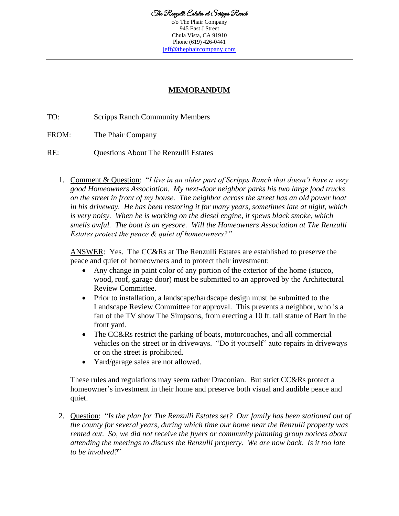c/o The Phair Company 945 East J Street Chula Vista, CA 91910 Phone (619) 426-0441 [jeff@thephaircompany.com](mailto:jeff@thephaircompany.com)

## **MEMORANDUM**

TO: Scripps Ranch Community Members

FROM: The Phair Company

RE: Questions About The Renzulli Estates

1. Comment & Question: "*I live in an older part of Scripps Ranch that doesn't have a very good Homeowners Association. My next-door neighbor parks his two large food trucks on the street in front of my house. The neighbor across the street has an old power boat in his driveway. He has been restoring it for many years, sometimes late at night, which is very noisy. When he is working on the diesel engine, it spews black smoke, which smells awful. The boat is an eyesore. Will the Homeowners Association at The Renzulli Estates protect the peace & quiet of homeowners?"*

ANSWER: Yes. The CC&Rs at The Renzulli Estates are established to preserve the peace and quiet of homeowners and to protect their investment:

- Any change in paint color of any portion of the exterior of the home (stucco, wood, roof, garage door) must be submitted to an approved by the Architectural Review Committee.
- Prior to installation, a landscape/hardscape design must be submitted to the Landscape Review Committee for approval. This prevents a neighbor, who is a fan of the TV show The Simpsons, from erecting a 10 ft. tall statue of Bart in the front yard.
- The CC&Rs restrict the parking of boats, motorcoaches, and all commercial vehicles on the street or in driveways. "Do it yourself" auto repairs in driveways or on the street is prohibited.
- Yard/garage sales are not allowed.

These rules and regulations may seem rather Draconian. But strict CC&Rs protect a homeowner's investment in their home and preserve both visual and audible peace and quiet.

2. Question: "*Is the plan for The Renzulli Estates set? Our family has been stationed out of the county for several years, during which time our home near the Renzulli property was rented out. So, we did not receive the flyers or community planning group notices about attending the meetings to discuss the Renzulli property. We are now back. Is it too late to be involved?*"